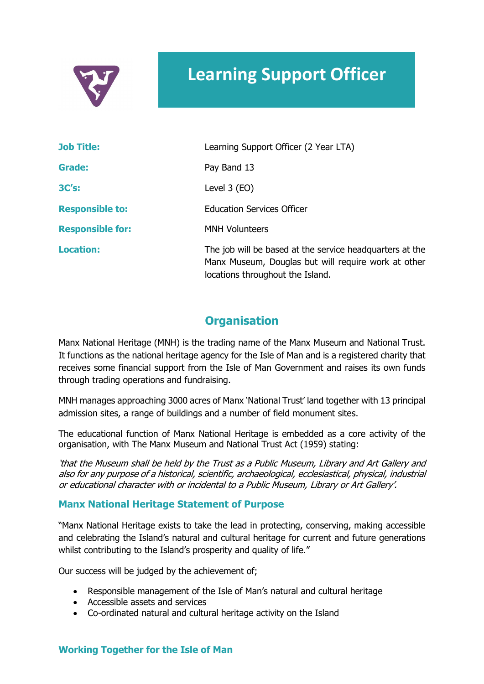

# **Learning Support Officer**

| <b>Job Title:</b>       | Learning Support Officer (2 Year LTA)                                                                                                               |
|-------------------------|-----------------------------------------------------------------------------------------------------------------------------------------------------|
| Grade:                  | Pay Band 13                                                                                                                                         |
| 3C's:                   | Level $3$ (EO)                                                                                                                                      |
| <b>Responsible to:</b>  | <b>Education Services Officer</b>                                                                                                                   |
| <b>Responsible for:</b> | <b>MNH Volunteers</b>                                                                                                                               |
| <b>Location:</b>        | The job will be based at the service headquarters at the<br>Manx Museum, Douglas but will require work at other<br>locations throughout the Island. |

### **Organisation**

Manx National Heritage (MNH) is the trading name of the Manx Museum and National Trust. It functions as the national heritage agency for the Isle of Man and is a registered charity that receives some financial support from the Isle of Man Government and raises its own funds through trading operations and fundraising.

MNH manages approaching 3000 acres of Manx 'National Trust' land together with 13 principal admission sites, a range of buildings and a number of field monument sites.

The educational function of Manx National Heritage is embedded as a core activity of the organisation, with The Manx Museum and National Trust Act (1959) stating:

'that the Museum shall be held by the Trust as a Public Museum, Library and Art Gallery and also for any purpose of a historical, scientific, archaeological, ecclesiastical, physical, industrial or educational character with or incidental to a Public Museum, Library or Art Gallery'.

#### **Manx National Heritage Statement of Purpose**

"Manx National Heritage exists to take the lead in protecting, conserving, making accessible and celebrating the Island's natural and cultural heritage for current and future generations whilst contributing to the Island's prosperity and quality of life."

Our success will be judged by the achievement of;

- Responsible management of the Isle of Man's natural and cultural heritage
- Accessible assets and services
- Co-ordinated natural and cultural heritage activity on the Island

#### **Working Together for the Isle of Man**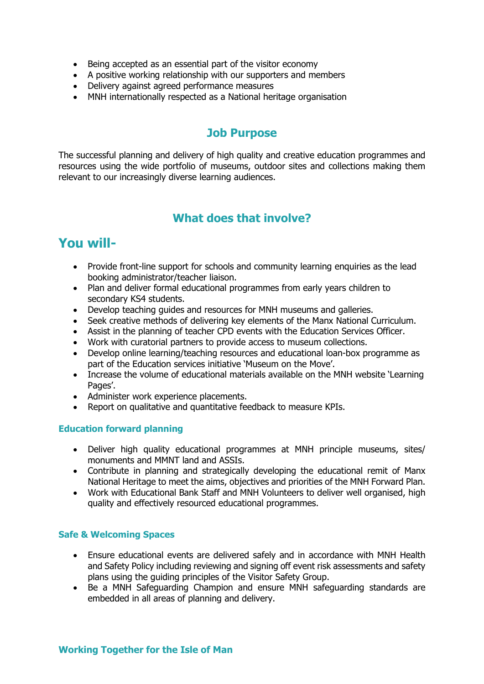- Being accepted as an essential part of the visitor economy
- A positive working relationship with our supporters and members
- Delivery against agreed performance measures
- MNH internationally respected as a National heritage organisation

### **Job Purpose**

The successful planning and delivery of high quality and creative education programmes and resources using the wide portfolio of museums, outdoor sites and collections making them relevant to our increasingly diverse learning audiences.

## **What does that involve?**

# **You will-**

- Provide front-line support for schools and community learning enquiries as the lead booking administrator/teacher liaison.
- Plan and deliver formal educational programmes from early years children to secondary KS4 students.
- Develop teaching guides and resources for MNH museums and galleries.
- Seek creative methods of delivering key elements of the Manx National Curriculum.
- Assist in the planning of teacher CPD events with the Education Services Officer.
- Work with curatorial partners to provide access to museum collections.
- Develop online learning/teaching resources and educational loan-box programme as part of the Education services initiative 'Museum on the Move'.
- Increase the volume of educational materials available on the MNH website 'Learning Pages'.
- Administer work experience placements.
- Report on qualitative and quantitative feedback to measure KPIs.

#### **Education forward planning**

- Deliver high quality educational programmes at MNH principle museums, sites/ monuments and MMNT land and ASSIs.
- Contribute in planning and strategically developing the educational remit of Manx National Heritage to meet the aims, objectives and priorities of the MNH Forward Plan.
- Work with Educational Bank Staff and MNH Volunteers to deliver well organised, high quality and effectively resourced educational programmes.

#### **Safe & Welcoming Spaces**

- Ensure educational events are delivered safely and in accordance with MNH Health and Safety Policy including reviewing and signing off event risk assessments and safety plans using the guiding principles of the Visitor Safety Group.
- Be a MNH Safeguarding Champion and ensure MNH safeguarding standards are embedded in all areas of planning and delivery.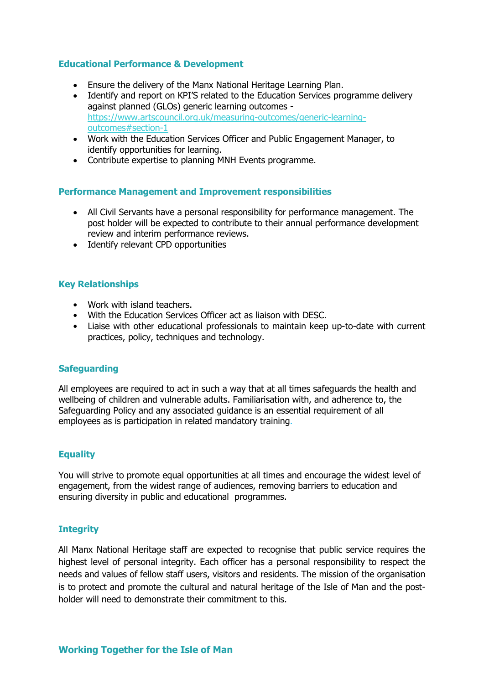#### **Educational Performance & Development**

- Ensure the delivery of the Manx National Heritage Learning Plan.
- Identify and report on KPI'S related to the Education Services programme delivery against planned (GLOs) generic learning outcomes https://www.artscouncil.org.uk/measuring-outcomes/generic-learningoutcomes#section-1
- Work with the Education Services Officer and Public Engagement Manager, to identify opportunities for learning.
- Contribute expertise to planning MNH Events programme.

#### **Performance Management and Improvement responsibilities**

- All Civil Servants have a personal responsibility for performance management. The post holder will be expected to contribute to their annual performance development review and interim performance reviews.
- Identify relevant CPD opportunities

#### **Key Relationships**

- Work with island teachers.
- With the Education Services Officer act as liaison with DESC.
- Liaise with other educational professionals to maintain keep up-to-date with current practices, policy, techniques and technology.

#### **Safeguarding**

All employees are required to act in such a way that at all times safeguards the health and wellbeing of children and vulnerable adults. Familiarisation with, and adherence to, the Safeguarding Policy and any associated guidance is an essential requirement of all employees as is participation in related mandatory training.

#### **Equality**

You will strive to promote equal opportunities at all times and encourage the widest level of engagement, from the widest range of audiences, removing barriers to education and ensuring diversity in public and educational programmes.

#### **Integrity**

All Manx National Heritage staff are expected to recognise that public service requires the highest level of personal integrity. Each officer has a personal responsibility to respect the needs and values of fellow staff users, visitors and residents. The mission of the organisation is to protect and promote the cultural and natural heritage of the Isle of Man and the postholder will need to demonstrate their commitment to this.